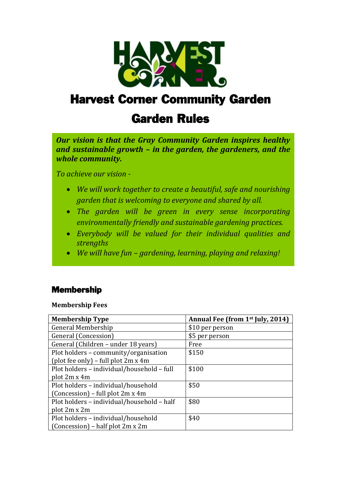

# Harvest Corner Community Garden

# Garden Rules

*Our vision is that the Gray Community Garden inspires healthy and sustainable growth – in the garden, the gardeners, and the whole community.*

*To achieve our vision -*

 $\overline{\phantom{a}}$ 

I

I

l,

l,

l,

l,

I

l,

- *We will work together to create a beautiful, safe and nourishing garden that is welcoming to everyone and shared by all.*
- *The garden will be green in every sense incorporating environmentally friendly and sustainable gardening practices.*
- *Everybody will be valued for their individual qualities and strengths*
- *We will have fun – gardening, learning, playing and relaxing!*

#### Membership

**Membership Fees**

| <b>Membership Type</b>                     | Annual Fee (from 1 <sup>st</sup> July, 2014) |
|--------------------------------------------|----------------------------------------------|
| General Membership                         | \$10 per person                              |
| General (Concession)                       | \$5 per person                               |
| General (Children – under 18 years)        | Free                                         |
| Plot holders – community/organisation      | \$150                                        |
| (plot fee only) – full plot 2m x 4m        |                                              |
| Plot holders - individual/household - full | \$100                                        |
| plot 2m x 4m                               |                                              |
| Plot holders - individual/household        | \$50                                         |
| $(Consision)$ – full plot 2m x 4m          |                                              |
| Plot holders - individual/household - half | \$80                                         |
| plot 2m x 2m                               |                                              |
| Plot holders - individual/household        | \$40                                         |
| (Concession) – half plot 2m x 2m           |                                              |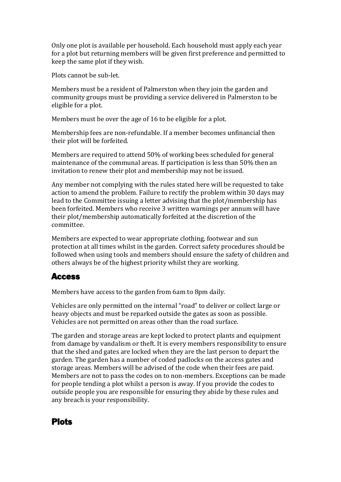Only one plot is available per household. Each household must apply each year for a plot but returning members will be given first preference and permitted to keep the same plot if they wish.

Plots cannot be sub-let.

Members must be a resident of Palmerston when they join the garden and community groups must be providing a service delivered in Palmerston to be eligible for a plot.

Members must be over the age of 16 to be eligible for a plot.

Membership fees are non-refundable. If a member becomes unfinancial then their plot will be forfeited.

Members are required to attend 50% of working bees scheduled for general maintenance of the communal areas. If participation is less than 50% then an invitation to renew their plot and membership may not be issued.

Any member not complying with the rules stated here will be requested to take action to amend the problem. Failure to rectify the problem within 30 days may lead to the Committee issuing a letter advising that the plot/membership has been forfeited. Members who receive 3 written warnings per annum will have their plot/membership automatically forfeited at the discretion of the committee.

Members are expected to wear appropriate clothing, footwear and sun protection at all times whilst in the garden. Correct safety procedures should be followed when using tools and members should ensure the safety of children and others always be of the highest priority whilst they are working.

#### Access

Members have access to the garden from 6am to 8pm daily.

Vehicles are only permitted on the internal "road" to deliver or collect large or heavy objects and must be reparked outside the gates as soon as possible. Vehicles are not permitted on areas other than the road surface.

The garden and storage areas are kept locked to protect plants and equipment from damage by vandalism or theft. It is every members responsibility to ensure that the shed and gates are locked when they are the last person to depart the garden. The garden has a number of coded padlocks on the access gates and storage areas. Members will be advised of the code when their fees are paid. Members are not to pass the codes on to non-members. Exceptions can be made for people tending a plot whilst a person is away. If you provide the codes to outside people you are responsible for ensuring they abide by these rules and any breach is your responsibility.

#### Plots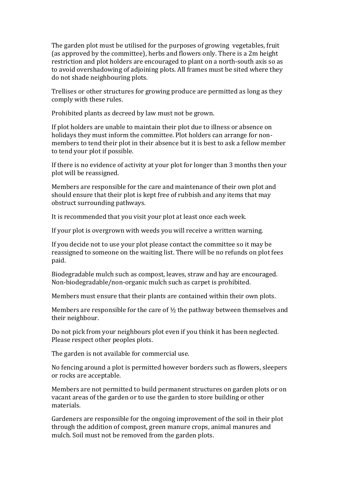The garden plot must be utilised for the purposes of growing vegetables, fruit (as approved by the committee), herbs and flowers only. There is a 2m height restriction and plot holders are encouraged to plant on a north-south axis so as to avoid overshadowing of adjoining plots. All frames must be sited where they do not shade neighbouring plots.

Trellises or other structures for growing produce are permitted as long as they comply with these rules.

Prohibited plants as decreed by law must not be grown.

If plot holders are unable to maintain their plot due to illness or absence on holidays they must inform the committee. Plot holders can arrange for nonmembers to tend their plot in their absence but it is best to ask a fellow member to tend your plot if possible.

If there is no evidence of activity at your plot for longer than 3 months then your plot will be reassigned.

Members are responsible for the care and maintenance of their own plot and should ensure that their plot is kept free of rubbish and any items that may obstruct surrounding pathways.

It is recommended that you visit your plot at least once each week.

If your plot is overgrown with weeds you will receive a written warning.

If you decide not to use your plot please contact the committee so it may be reassigned to someone on the waiting list. There will be no refunds on plot fees paid.

Biodegradable mulch such as compost, leaves, straw and hay are encouraged. Non-biodegradable/non-organic mulch such as carpet is prohibited.

Members must ensure that their plants are contained within their own plots.

Members are responsible for the care of ½ the pathway between themselves and their neighbour.

Do not pick from your neighbours plot even if you think it has been neglected. Please respect other peoples plots.

The garden is not available for commercial use.

No fencing around a plot is permitted however borders such as flowers, sleepers or rocks are acceptable.

Members are not permitted to build permanent structures on garden plots or on vacant areas of the garden or to use the garden to store building or other materials.

Gardeners are responsible for the ongoing improvement of the soil in their plot through the addition of compost, green manure crops, animal manures and mulch. Soil must not be removed from the garden plots.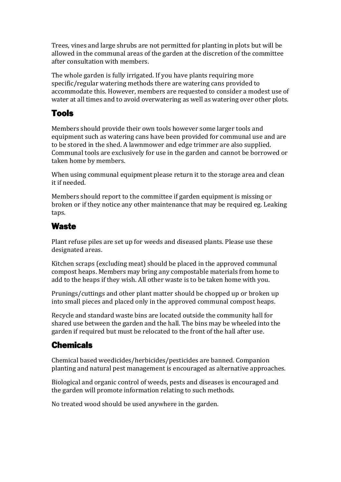Trees, vines and large shrubs are not permitted for planting in plots but will be allowed in the communal areas of the garden at the discretion of the committee after consultation with members.

The whole garden is fully irrigated. If you have plants requiring more specific/regular watering methods there are watering cans provided to accommodate this. However, members are requested to consider a modest use of water at all times and to avoid overwatering as well as watering over other plots.

### Tools

Members should provide their own tools however some larger tools and equipment such as watering cans have been provided for communal use and are to be stored in the shed. A lawnmower and edge trimmer are also supplied. Communal tools are exclusively for use in the garden and cannot be borrowed or taken home by members.

When using communal equipment please return it to the storage area and clean it if needed.

Members should report to the committee if garden equipment is missing or broken or if they notice any other maintenance that may be required eg. Leaking taps.

#### **Waste**

Plant refuse piles are set up for weeds and diseased plants. Please use these designated areas.

Kitchen scraps (excluding meat) should be placed in the approved communal compost heaps. Members may bring any compostable materials from home to add to the heaps if they wish. All other waste is to be taken home with you.

Prunings/cuttings and other plant matter should be chopped up or broken up into small pieces and placed only in the approved communal compost heaps.

Recycle and standard waste bins are located outside the community hall for shared use between the garden and the hall. The bins may be wheeled into the garden if required but must be relocated to the front of the hall after use.

#### **Chemicals**

Chemical based weedicides/herbicides/pesticides are banned. Companion planting and natural pest management is encouraged as alternative approaches.

Biological and organic control of weeds, pests and diseases is encouraged and the garden will promote information relating to such methods.

No treated wood should be used anywhere in the garden.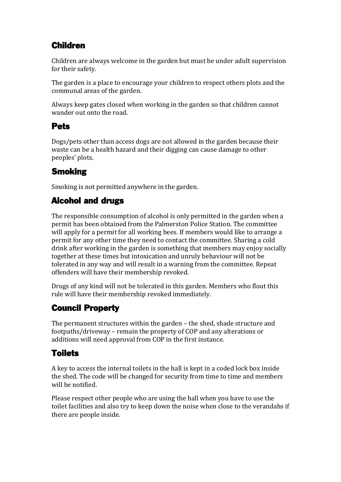# Children

Children are always welcome in the garden but must be under adult supervision for their safety.

The garden is a place to encourage your children to respect others plots and the communal areas of the garden.

Always keep gates closed when working in the garden so that children cannot wander out onto the road.

#### Pets

Dogs/pets other than access dogs are not allowed in the garden because their waste can be a health hazard and their digging can cause damage to other peoples' plots.

### **Smoking**

Smoking is not permitted anywhere in the garden.

### Alcohol and drugs

The responsible consumption of alcohol is only permitted in the garden when a permit has been obtained from the Palmerston Police Station. The committee will apply for a permit for all working bees. If members would like to arrange a permit for any other time they need to contact the committee. Sharing a cold drink after working in the garden is something that members may enjoy socially together at these times but intoxication and unruly behaviour will not be tolerated in any way and will result in a warning from the committee. Repeat offenders will have their membership revoked.

Drugs of any kind will not be tolerated in this garden. Members who flout this rule will have their membership revoked immediately.

## Council Property

The permanent structures within the garden – the shed, shade structure and footpaths/driveway – remain the property of COP and any alterations or additions will need approval from COP in the first instance.

## **Toilets**

A key to access the internal toilets in the hall is kept in a coded lock box inside the shed. The code will be changed for security from time to time and members will be notified.

Please respect other people who are using the hall when you have to use the toilet facilities and also try to keep down the noise when close to the verandahs if there are people inside.